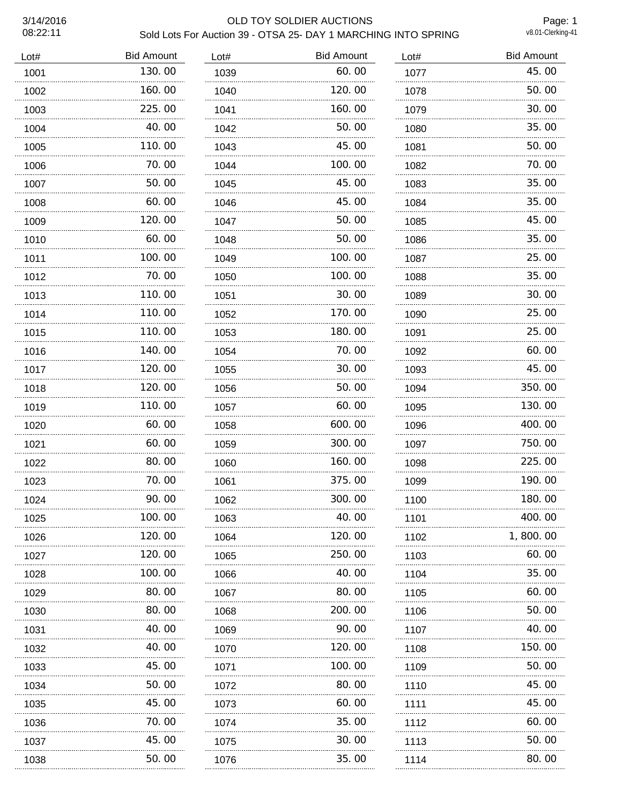# 3/14/2016 OLD TOY SOLDIER AUCTIONS Sold Lots For Auction 39 - OTSA 25- DAY 1 MARCHING INTO SPRING

Page: 1<br>v8.01-Clerking-41

| 45.00<br>50.00<br>30.00 |
|-------------------------|
|                         |
|                         |
|                         |
| 35.00                   |
| 50.00                   |
| 70.00                   |
| 35.00                   |
| 35.00                   |
| 45.00                   |
| 35.00                   |
| 25.00                   |
| 35.00                   |
| 30.00                   |
| 25.00                   |
| 25.00                   |
| 60.00                   |
| 45.00                   |
| 350.00                  |
| 130.00<br>.             |
| 400.00                  |
| 750.00                  |
| 225.00                  |
| 190.00                  |
| 180.00                  |
| 400.00                  |
| 1,800.00                |
| 60.00                   |
| 35.00                   |
| 60.00                   |
| 50.00                   |
| 40.00                   |
| 150.00                  |
| 50.00                   |
| 45.00                   |
| 45.00                   |
| 60.00                   |
| 50.00                   |
|                         |
|                         |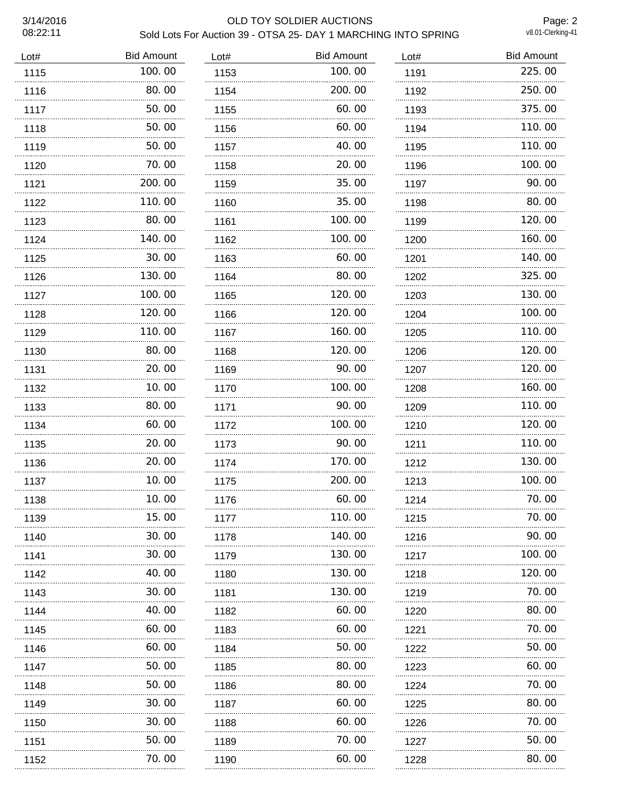## 3/14/2016 OLD TOY SOLDIER AUCTIONS Sold Lots For Auction 39 - OTSA 25- DAY 1 MARCHING INTO SPRING

Page: 2<br>v8.01-Clerking-41

| Lot# | <b>Bid Amount</b> | Lot# | <b>Bid Amount</b> | Lot# | <b>Bid Amount</b> |
|------|-------------------|------|-------------------|------|-------------------|
| 1115 | 100.00            | 1153 | 100.00            | 1191 | 225.00            |
| 1116 | 80.00             | 1154 | 200.00            | 1192 | 250.00            |
| 1117 | 50.00             | 1155 | 60.00             | 1193 | 375.00            |
| 1118 | 50.00             | 1156 | 60.00             | 1194 | 110.00            |
| 1119 | 50.00             | 1157 | 40.00             | 1195 | 110.00            |
| 1120 | 70.00             | 1158 | 20.00             | 1196 | 100.00            |
| 1121 | 200.00            | 1159 | 35.00             | 1197 | 90.00             |
| 1122 | 110.00            | 1160 | 35.00             | 1198 | 80.00             |
| 1123 | 80.00             | 1161 | 100.00            | 1199 | 120.00            |
| 1124 | 140.00            | 1162 | 100.00            | 1200 | 160.00            |
| 1125 | 30.00             | 1163 | 60.00             | 1201 | 140.00            |
| 1126 | 130.00            | 1164 | 80.00             | 1202 | 325.00            |
| 1127 | 100.00            | 1165 | 120, 00           | 1203 | 130.00            |
| 1128 | 120.00            | 1166 | 120.00            | 1204 | 100.00            |
| 1129 | 110.00            | 1167 | 160.00            | 1205 | 110.00            |
| 1130 | 80.00             | 1168 | 120.00            | 1206 | 120.00            |
| 1131 | 20.00             | 1169 | 90.00             | 1207 | 120.00            |
| 1132 | 10.00             | 1170 | 100.00            | 1208 | 160.00            |
| 1133 | 80.00             | 1171 | 90.00             | 1209 | 110.00            |
| 1134 | 60.00             | 1172 | 100.00            | 1210 | 120.00            |
| 1135 | 20.00             | 1173 | 90.00             | 1211 | 110.00            |
| 1136 | 20.00             | 1174 | 170.00            | 1212 | 130.00            |
| 1137 | 10.00             | 1175 | 200.00            | 1213 | 100.00            |
| 1138 | 10.00             | 1176 | 60.00             | 1214 | 70.00             |
| 1139 | 15.00             | 1177 | 110.00            | 1215 | 70.00             |
| 1140 | 30.00             | 1178 | 140.00            | 1216 | 90.00             |
| 1141 | 30.00             | 1179 | 130.00            | 1217 | 100. 00           |
| 1142 | 40.00             | 1180 | 130. 00           | 1218 | 120.00            |
| 1143 | 30.00             | 1181 | 130.00            | 1219 | 70.00             |
| 1144 | 40.00             | 1182 | 60.00             | 1220 | 80.00             |
| 1145 | 60.00             | 1183 | 60.00             | 1221 | 70. 00            |
| 1146 | 60.00             | 1184 | 50.00             | 1222 | 50.00             |
| 1147 | 50.00             | 1185 | 80.00             | 1223 | 60.00             |
| 1148 | 50.00             | 1186 | 80.00             | 1224 | 70. 00            |
| 1149 | 30.00             | 1187 | 60.00             | 1225 | 80.00             |
| 1150 | 30.00             | 1188 | 60.00             | 1226 | 70.00             |
| 1151 | 50.00             | 1189 | 70.00             | 1227 | 50.00             |
| 1152 | 70.00             | 1190 | 60.00             | 1228 | 80.00             |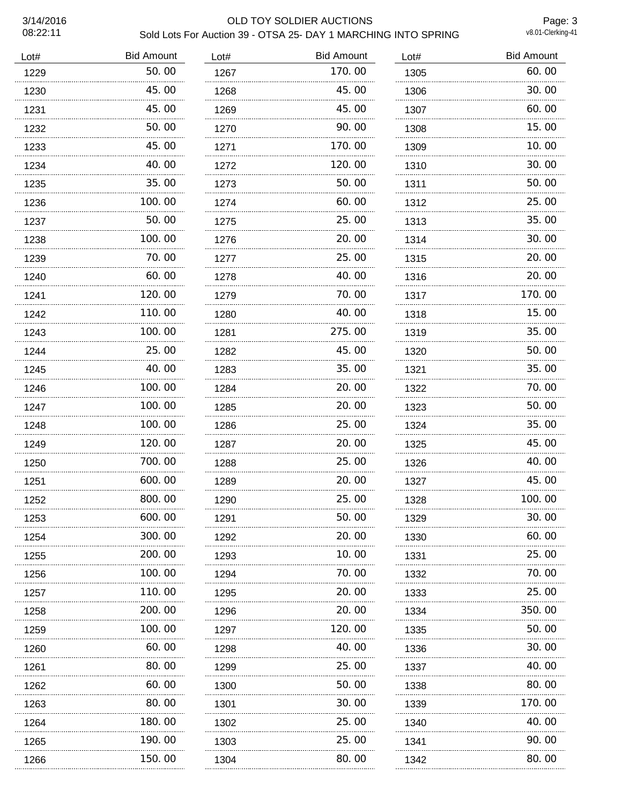## 3/14/2016 OLD TOY SOLDIER AUCTIONS Sold Lots For Auction 39 - OTSA 25- DAY 1 MARCHING INTO SPRING

Page: 3<br>v8.01-Clerking-41

| Lot# | <b>Bid Amount</b> | Lot# | <b>Bid Amount</b> | Lot# | <b>Bid Amount</b> |
|------|-------------------|------|-------------------|------|-------------------|
| 1229 | 50.00             | 1267 | 170.00            | 1305 | 60.00             |
| 1230 | 45.00             | 1268 | 45.00             | 1306 | 30.00             |
| 1231 | 45.00             | 1269 | 45.00             | 1307 | 60.00             |
| 1232 | 50.00             | 1270 | 90.00             | 1308 | 15.00             |
| 1233 | 45.00             | 1271 | 170.00            | 1309 | 10.00             |
| 1234 | 40.00             | 1272 | 120.00            | 1310 | 30.00             |
| 1235 | 35.00             | 1273 | 50.00             | 1311 | 50.00             |
| 1236 | 100.00            | 1274 | 60.00             | 1312 | 25.00             |
| 1237 | 50.00             | 1275 | 25.00             | 1313 | 35.00             |
| 1238 | 100.00            | 1276 | 20,00             | 1314 | 30.00             |
| 1239 | 70.00             | 1277 | 25.00             | 1315 | 20.00             |
| 1240 | 60.00             | 1278 | 40.00             | 1316 | 20.00             |
| 1241 | 120.00            | 1279 | 70.00             | 1317 | 170.00            |
| 1242 | 110.00            | 1280 | 40.00             | 1318 | 15.00             |
| 1243 | 100.00<br>.       | 1281 | 275.00            | 1319 | 35.00             |
| 1244 | 25.00             | 1282 | 45.00             | 1320 | 50.00             |
| 1245 | 40.00<br>.        | 1283 | 35.00             | 1321 | 35.00             |
| 1246 | 100.00            | 1284 | 20.00             | 1322 | 70.00             |
| 1247 | 100.00            | 1285 | 20.00             | 1323 | 50.00             |
| 1248 | 100.00            | 1286 | 25.00             | 1324 | 35.00             |
| 1249 | 120, 00           | 1287 | 20,00             | 1325 | 45.00             |
| 1250 | 700.00            | 1288 | 25.00             | 1326 | 40.00             |
| 1251 | 600.00            | 1289 | 20.00             | 1327 | 45.00             |
| 1252 | 800.00            | 1290 | 25.00             | 1328 | 100.00            |
| 1253 | 600.00            | 1291 | 50.00             | 1329 | 30.00             |
| 1254 | 300.00            | 1292 | 20.00             | 1330 | 60.00             |
| 1255 | 200.00            | 1293 | 10.00             | 1331 | 25.00             |
| 1256 | 100.00            | 1294 | 70.00             | 1332 | 70.00             |
| 1257 | 110.00            | 1295 | 20.00             | 1333 | 25.00             |
| 1258 | 200.00            | 1296 | 20.00             | 1334 | 350.00            |
| 1259 | 100.00            | 1297 | 120.00            | 1335 | 50.00             |
| 1260 | 60.00             | 1298 | 40.00             | 1336 | 30.00             |
| 1261 | 80.00             | 1299 | 25.00             | 1337 | 40.00             |
| 1262 | 60.00             | 1300 | 50.00             | 1338 | 80.00             |
| 1263 | 80.00             | 1301 | 30.00             | 1339 | 170.00            |
| 1264 | 180.00            | 1302 | 25.00             | 1340 | 40.00             |
| 1265 | 190.00<br>.       | 1303 | 25.00             | 1341 | 90.00             |
| 1266 | 150. 00           | 1304 | 80.00             | 1342 | 80.00             |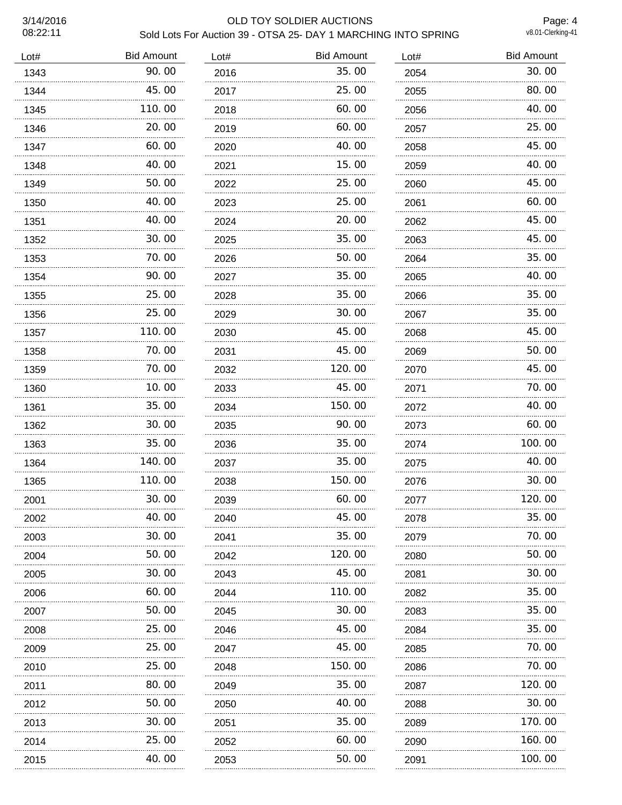# 3/14/2016 OLD TOY SOLDIER AUCTIONS Sold Lots For Auction 39 - OTSA 25- DAY 1 MARCHING INTO SPRING

Page: 4<br>v8.01-Clerking-41

| Lot# | <b>Bid Amount</b> | Lot# | <b>Bid Amount</b> | Lot# | <b>Bid Amount</b> |
|------|-------------------|------|-------------------|------|-------------------|
| 1343 | 90.00             | 2016 | 35.00             | 2054 | 30.00             |
| 1344 | 45.00             | 2017 | 25.00             | 2055 | 80.00             |
| 1345 | 110.00            | 2018 | 60.00             | 2056 | 40.00             |
| 1346 | 20.00             | 2019 | 60.00             | 2057 | 25.00             |
| 1347 | 60.00             | 2020 | 40.00             | 2058 | 45.00             |
| 1348 | 40.00             | 2021 | 15.00             | 2059 | 40.00             |
| 1349 | 50.00             | 2022 | 25.00             | 2060 | 45.00             |
| 1350 | 40.00             | 2023 | 25,00             | 2061 | 60.00             |
| 1351 | 40.00             | 2024 | 20.00             | 2062 | 45.00             |
| 1352 | 30.00             | 2025 | 35.00             | 2063 | 45.00             |
| 1353 | 70.00             | 2026 | 50.00             | 2064 | 35.00             |
| 1354 | 90.00             | 2027 | 35.00             | 2065 | 40.00             |
| 1355 | 25.00             | 2028 | 35.00             | 2066 | 35.00             |
| 1356 | 25.00             | 2029 | 30.00             | 2067 | 35.00             |
| 1357 | 110.00            | 2030 | 45.00             | 2068 | 45.00             |
| 1358 | 70.00             | 2031 | 45.00             | 2069 | 50.00             |
| 1359 | 70.00             | 2032 | 120.00            | 2070 | 45.00             |
| 1360 | 10.00             | 2033 | 45.00             | 2071 | 70.00             |
| 1361 | 35.00             | 2034 | 150.00            | 2072 | 40.00             |
| 1362 | 30.00             | 2035 | 90.00             | 2073 | 60.00             |
| 1363 | 35.00             | 2036 | 35.00             | 2074 | 100.00            |
| 1364 | 140.00            | 2037 | 35.00             | 2075 | 40.00             |
| 1365 | 110.00            | 2038 | 150.00            | 2076 | 30.00             |
| 2001 | 30.00             | 2039 | 60.00             | 2077 | 120.00            |
| 2002 | 40.00             | 2040 | 45.00             | 2078 | 35.00             |
| 2003 | 30.00             | 2041 | 35.00             | 2079 | 70.00             |
| 2004 | 50.00             | 2042 | 120. 00           | 2080 | 50.00             |
| 2005 | 30.00             | 2043 | 45.00             | 2081 | 30.00             |
| 2006 | 60.00             | 2044 | 110.00            | 2082 | 35.00             |
| 2007 | 50.00             | 2045 | 30.00             | 2083 | 35.00             |
| 2008 | 25.00             | 2046 | 45.00             | 2084 | 35.00             |
| 2009 | 25.00             | 2047 | 45.00             | 2085 | 70.00             |
| 2010 | 25.00             | 2048 | 150.00            | 2086 | 70.00             |
| 2011 | 80.00             | 2049 | 35.00             | 2087 | 120.00            |
| 2012 | 50.00             | 2050 | 40.00             | 2088 | 30.00             |
| 2013 | .<br>30.00        | 2051 | 35.00             | 2089 | 170.00            |
| 2014 | 25.00             | 2052 | 60.00             | 2090 | 160.00            |
| 2015 | 40.00             | 2053 | 50.00             | 2091 | 100.00            |
|      |                   |      |                   |      |                   |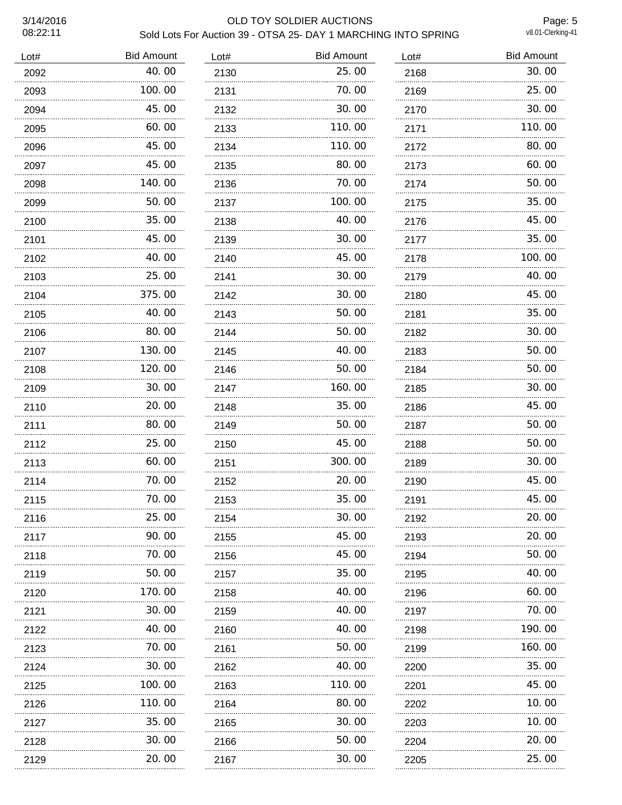# 3/14/2016 OLD TOY SOLDIER AUCTIONS Sold Lots For Auction 39 - OTSA 25- DAY 1 MARCHING INTO SPRING

Page: 5<br>v8.01-Clerking-41

| Lot# | <b>Bid Amount</b> | Lot# | <b>Bid Amount</b> | Lot# | <b>Bid Amount</b> |
|------|-------------------|------|-------------------|------|-------------------|
| 2092 | 40.00             | 2130 | 25.00             | 2168 | 30.00             |
| 2093 | 100.00            | 2131 | 70.00             | 2169 | 25.00             |
| 2094 | 45.00             | 2132 | 30.00             | 2170 | 30.00             |
| 2095 | 60.00             | 2133 | 110.00            | 2171 | 110.00            |
| 2096 | 45.00             | 2134 | 110.00            | 2172 | 80.00             |
| 2097 | 45.00             | 2135 | 80.00             | 2173 | 60.00             |
| 2098 | 140.00            | 2136 | 70.00             | 2174 | 50.00             |
| 2099 | 50.00             | 2137 | 100.00            | 2175 | 35.00             |
| 2100 | 35.00             | 2138 | 40.00             | 2176 | 45.00             |
| 2101 | 45.00             | 2139 | 30.00             | 2177 | 35.00             |
| 2102 | 40.00             | 2140 | 45.00             | 2178 | 100.00            |
| 2103 | 25,00             | 2141 | 30.00             | 2179 | 40.00             |
| 2104 | 375.00<br>.       | 2142 | 30.00             | 2180 | 45.00             |
| 2105 | 40.00             | 2143 | 50.00             | 2181 | 35.00             |
| 2106 | 80.00             | 2144 | 50.00             | 2182 | 30.00             |
| 2107 | 130.00            | 2145 | 40.00             | 2183 | 50.00             |
| 2108 | 120.00            | 2146 | 50.00             | 2184 | 50.00             |
| 2109 | 30.00             | 2147 | 160.00            | 2185 | 30.00             |
| 2110 | 20.00             | 2148 | 35.00             | 2186 | 45.00             |
| 2111 | 80.00             | 2149 | 50.00             | 2187 | 50.00             |
| 2112 | 25,00             | 2150 | 45.00             | 2188 | 50.00             |
| 2113 | 60.00             | 2151 | 300.00            | 2189 | 30.00             |
| 2114 | 70.00             | 2152 | 20.00             | 2190 | 45.00             |
| 2115 | 70.00             | 2153 | 35.00             | 2191 | 45.00             |
| 2116 | 25.00             | 2154 | 30.00             | 2192 | 20.00             |
| 2117 | 90.00             | 2155 | 45.00             | 2193 | 20.00             |
| 2118 | 70.00             | 2156 | 45.00             | 2194 | 50.00             |
| 2119 | 50.00             | 2157 | 35.00             | 2195 | 40.00             |
| 2120 | 170.00            | 2158 | 40.00             | 2196 | 60.00             |
| 2121 | 30.00             | 2159 | 40.00             | 2197 | 70.00             |
| 2122 | 40.00             | 2160 | 40.00             | 2198 | 190.00            |
| 2123 | 70.00             | 2161 | 50.00             | 2199 | 160.00            |
| 2124 | 30.00             | 2162 | 40.00             | 2200 | 35.00             |
| 2125 | 100.00            | 2163 | 110.00            | 2201 | 45.00             |
| 2126 | 110. 00           | 2164 | 80.00             | 2202 | 10.00             |
| 2127 | 35.00             | 2165 | 30.00             | 2203 | 10.00             |
| 2128 | 30.00             | 2166 | 50.00             | 2204 | 20.00             |
| 2129 | 20.00             | 2167 | 30.00             | 2205 | 25.00             |
|      |                   |      |                   |      |                   |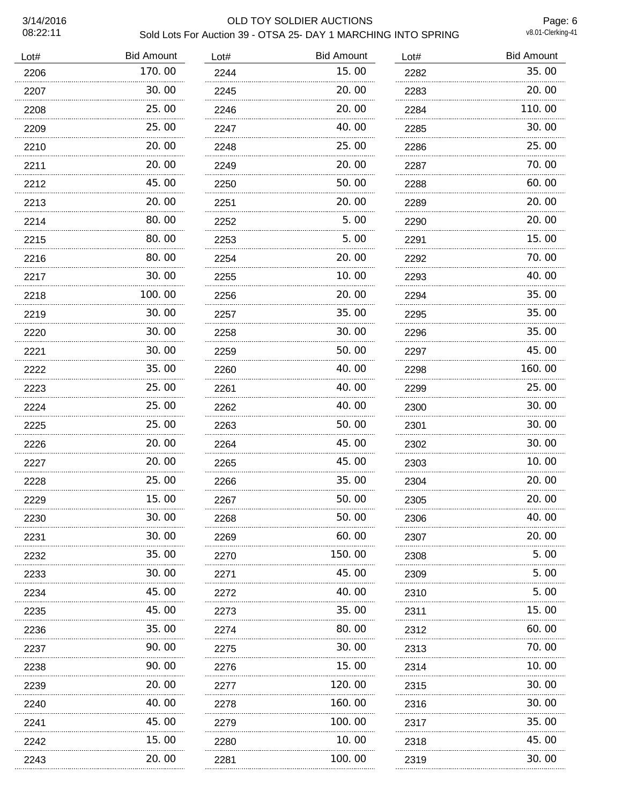## 3/14/2016 OLD TOY SOLDIER AUCTIONS Sold Lots For Auction 39 - OTSA 25- DAY 1 MARCHING INTO SPRING

Page: 6<br>v8.01-Clerking-41

| Lot# | <b>Bid Amount</b> | Lot# | <b>Bid Amount</b> | Lot# | <b>Bid Amount</b> |
|------|-------------------|------|-------------------|------|-------------------|
| 2206 | 170.00            | 2244 | 15.00             | 2282 | 35.00             |
| 2207 | 30.00             | 2245 | 20.00             | 2283 | 20.00             |
| 2208 | 25.00             | 2246 | 20.00             | 2284 | 110.00            |
| 2209 | 25.00             | 2247 | 40.00             | 2285 | 30.00             |
| 2210 | 20.00             | 2248 | 25.00             | 2286 | 25.00             |
| 2211 | 20.00             | 2249 | 20.00             | 2287 | 70.00             |
| 2212 | 45.00             | 2250 | 50.00             | 2288 | 60.00             |
| 2213 | 20.00             | 2251 | 20.00             | 2289 | 20.00             |
| 2214 | 80.00             | 2252 | 5.00              | 2290 | 20.00             |
| 2215 | 80.00             | 2253 | 5.00              | 2291 | 15.00             |
| 2216 | 80.00             | 2254 | 20.00             | 2292 | 70.00             |
| 2217 | 30.00             | 2255 | 10.00             | 2293 | 40.00             |
| 2218 | 100.00            | 2256 | 20.00             | 2294 | 35.00             |
| 2219 | 30.00             | 2257 | 35.00             | 2295 | 35.00             |
| 2220 | 30.00             | 2258 | 30.00             | 2296 | 35.00             |
| 2221 | 30.00             | 2259 | 50.00             | 2297 | 45.00             |
| 2222 | 35.00             | 2260 | 40.00             | 2298 | 160.00            |
| 2223 | 25.00             | 2261 | 40.00             | 2299 | 25.00             |
| 2224 | 25.00<br>.        | 2262 | 40.00             | 2300 | 30.00             |
| 2225 | 25.00             | 2263 | 50.00             | 2301 | 30.00             |
| 2226 | 20.00             | 2264 | 45.00             | 2302 | 30.00             |
| 2227 | 20.00             | 2265 | 45.00             | 2303 | 10.00             |
| 2228 | 25.00             | 2266 | 35.00             | 2304 | 20.00             |
| 2229 | 15.00             | 2267 | 50.00             | 2305 | 20.00             |
| 2230 | 30.00             | 2268 | 50.00             | 2306 | 40.00             |
| 2231 | 30.00             | 2269 | 60.00             | 2307 | 20.00             |
| 2232 | 35.00             | 2270 | 150.00            | 2308 | 5.00              |
| 2233 | 30.00             | 2271 | 45.00             | 2309 | 5.00              |
| 2234 | 45.00             | 2272 | 40.00             | 2310 | 5.00              |
| 2235 | 45.00             | 2273 | 35.00             | 2311 | 15.00             |
| 2236 | 35.00             | 2274 | 80.00             | 2312 | 60.00             |
| 2237 | 90.00             | 2275 | 30. 00            | 2313 | 70.00             |
| 2238 | 90.00             | 2276 | 15.00             | 2314 | 10.00             |
| 2239 | 20.00             | 2277 | 120.00            | 2315 | 30.00             |
| 2240 | 40.00             | 2278 | 160.00            | 2316 | 30.00             |
| 2241 | 45.00             | 2279 | 100.00            | 2317 | 35.00             |
| 2242 | 15.00<br>.        | 2280 | 10.00             | 2318 | 45.00             |
| 2243 | 20. 00            | 2281 | 100.00            | 2319 | 30.00             |
|      |                   |      |                   |      |                   |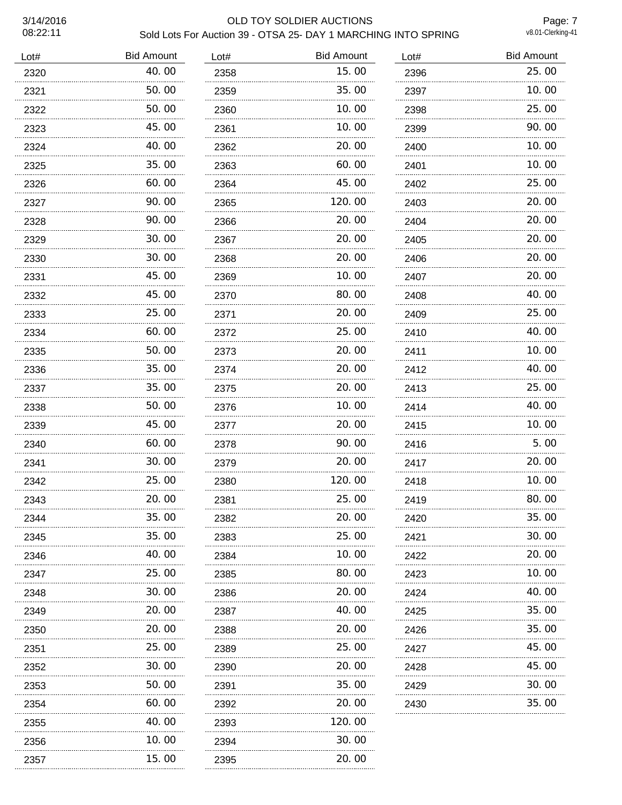#### 3/14/2016 OLD TOY SOLDIER AUCTIONS Sold Lots For Auction 39 - OTSA 25- DAY 1 MARCHING INTO SPRING

Page: 7<br>v8.01-Clerking-41

| Lot# | <b>Bid Amount</b> | Lot# | <b>Bid Amount</b> | Lot# | <b>Bid Amount</b> |
|------|-------------------|------|-------------------|------|-------------------|
| 2320 | 40.00             | 2358 | 15.00             | 2396 | 25.00             |
| 2321 | 50.00             | 2359 | 35.00             | 2397 | 10.00             |
| 2322 | 50.00             | 2360 | 10.00             | 2398 | 25.00             |
| 2323 | 45.00             | 2361 | 10.00             | 2399 | 90.00             |
| 2324 | 40.00             | 2362 | 20.00             | 2400 | 10.00             |
| 2325 | 35.00             | 2363 | 60.00             | 2401 | 10.00             |
| 2326 | 60.00             | 2364 | 45.00             | 2402 | 25.00             |
| 2327 | 90.00             | 2365 | 120.00            | 2403 | 20.00             |
| 2328 | 90.00             | 2366 | 20.00             | 2404 | 20.00             |
| 2329 | 30.00             | 2367 | 20.00             | 2405 | 20.00             |
| 2330 | 30.00             | 2368 | 20.00             | 2406 | 20.00             |
| 2331 | 45.00             | 2369 | 10.00             | 2407 | 20.00             |
| 2332 | 45.00             | 2370 | 80.00<br>.        | 2408 | 40.00             |
| 2333 | .<br>25.00        | 2371 | 20.00             | 2409 | 25.00             |
| 2334 | 60.00             | 2372 | 25.00             | 2410 | 40.00             |
| 2335 | 50.00             | 2373 | 20.00             | 2411 | 10.00             |
| 2336 | 35.00             | 2374 | 20.00             | 2412 | 40.00             |
| 2337 | 35.00             | 2375 | 20.00             | 2413 | 25.00             |
| 2338 | 50.00             | 2376 | 10.00             | 2414 | 40.00             |
| 2339 | 45.00             | 2377 | 20.00             | 2415 | 10.00             |
| 2340 | 60.00             | 2378 | 90.00             | 2416 | 5.00              |
| 2341 | 30.00             | 2379 | 20.00             | 2417 | 20.00             |
| 2342 | 25.00             | 2380 | 120.00            | 2418 | 10.00             |
| 2343 | 20.00             | 2381 | 25.00             | 2419 | 80.00             |
| 2344 | 35.00             | 2382 | 20.00             | 2420 | 35.00             |
| 2345 | 35.00             | 2383 | 25.00             | 2421 | 30.00             |
| 2346 | 40.00             | 2384 | 10.00             | 2422 | 20.00             |
| 2347 | 25.00             | 2385 | 80.00             | 2423 | 10.00             |
| 2348 | 30.00             | 2386 | 20.00             | 2424 | 40.00             |
| 2349 | 20.00             | 2387 | 40.00             | 2425 | 35.00             |
| 2350 | 20.00             | 2388 | 20,00             | 2426 | 35.00             |
| 2351 | 25.00             | 2389 | 25.00             | 2427 | 45.00             |
| 2352 | 30. OO<br>.       | 2390 | 20.00             | 2428 | 45.00             |
| 2353 | 50. 00            | 2391 | 35.00             | 2429 | 30.00             |
| 2354 | 60.00<br>.        | 2392 | 20.00             | 2430 | 35.00             |
| 2355 | 40.00             | 2393 | 120.00            |      |                   |
| 2356 | 10.00             | 2394 | 30.00             |      |                   |
| 2357 | 15.00             | 2395 | 20.00             |      |                   |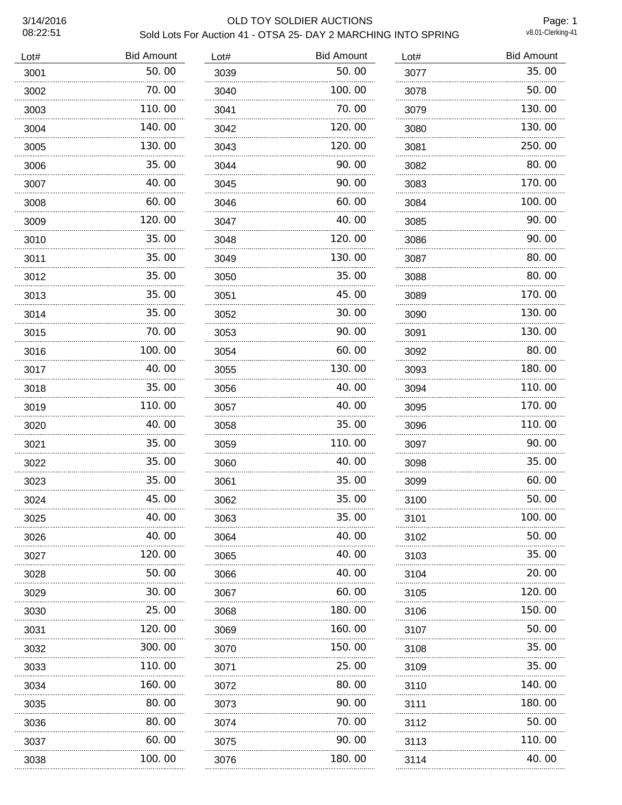#### 3/14/2016 OLD TOY SOLDIER AUCTIONS Sold Lots For Auction 41 - OTSA 25- DAY 2 MARCHING INTO SPRING

Page: 1<br>v8.01-Clerking-41

| <b>Bid Amount</b> | Lot# | <b>Bid Amount</b> | Lot# | <b>Bid Amount</b> | Lot# |
|-------------------|------|-------------------|------|-------------------|------|
| 35.00             | 3077 | 50.00             | 3039 | 50.00             | 3001 |
| 50.00             | 3078 | 100.00            | 3040 | 70.00             | 3002 |
| 130.00            | 3079 | 70.00             | 3041 | 110.00            | 3003 |
| 130.00            | 3080 | 120.00            | 3042 | 140.00            | 3004 |
| 250.00            | 3081 | 120.00            | 3043 | 130.00            | 3005 |
| 80.00             | 3082 | 90.00             | 3044 | 35.00             | 3006 |
| 170.00            | 3083 | 90.00             | 3045 | 40.00             | 3007 |
| 100.00            | 3084 | 60.00             | 3046 | 60.00             | 3008 |
| 90.00             | 3085 | 40.00             | 3047 | 120.00            | 3009 |
| 90.00             | 3086 | 120.00            | 3048 | 35.00             | 3010 |
| 80.00             | 3087 | 130.00            | 3049 | 35.00             | 3011 |
| 80.00             | 3088 | 35.00             | 3050 | 35.00             | 3012 |
| 170.00            | 3089 | 45.00             | 3051 | 35.00             | 3013 |
| 130.00            | 3090 | 30.00             | 3052 | 35.00             | 3014 |
| 130.00            | 3091 | 90.00             | 3053 | 70.00             | 3015 |
| 80.00             | 3092 | 60.00             | 3054 | 100.00            | 3016 |
| 180.00            | 3093 | 130.00            | 3055 | 40.00             | 3017 |
| 110.00            | 3094 | 40.00             | 3056 | 35.00             | 3018 |
| 170.00            | 3095 | 40.00             | 3057 | 110.00<br>.       | 3019 |
| 110.00            | 3096 | 35.00             | 3058 | 40.00             | 3020 |
| 90.00             | 3097 | 110.00            | 3059 | 35.00             | 3021 |
| 35.00             | 3098 | 40.00             | 3060 | 35.00             | 3022 |
| 60.00             | 3099 | 35.00             | 3061 | 35.00             | 3023 |
| 50.00             | 3100 | 35.00             | 3062 | 45.00             | 3024 |
| 100.00            | 3101 | 35.00             | 3063 | 40.00             | 3025 |
| 50.00             | 3102 | 40.00             | 3064 | 40.00             | 3026 |
| 35.00             | 3103 | 40. OO            | 3065 | 120.00            | 3027 |
| 20.00             | 3104 | 40. 00            | 3066 | 50.00             | 3028 |
| 120.00            | 3105 | 60. 00            | 3067 | 30.00             | 3029 |
| 150.00            | 3106 | 180.00            | 3068 | 25.00             | 3030 |
| 50.00             | 3107 | 160.00            | 3069 | 120. 00           | 3031 |
| 35.00             | 3108 | 150.00            | 3070 | 300.00            | 3032 |
| 35.00             | 3109 | 25.00             | 3071 | 110.00            | 3033 |
| 140.00            | 3110 | 80.00             | 3072 | 160.00            | 3034 |
| 180.00            | 3111 | 90.00             | 3073 | 80.00             | 3035 |
| 50.00             | 3112 | 70. 00            | 3074 | 80.00             | 3036 |
| 110.00            | 3113 | 90.00             | 3075 | 60.00             | 3037 |
| 40.00             | 3114 | 180.00            | 3076 | 100.00            | 3038 |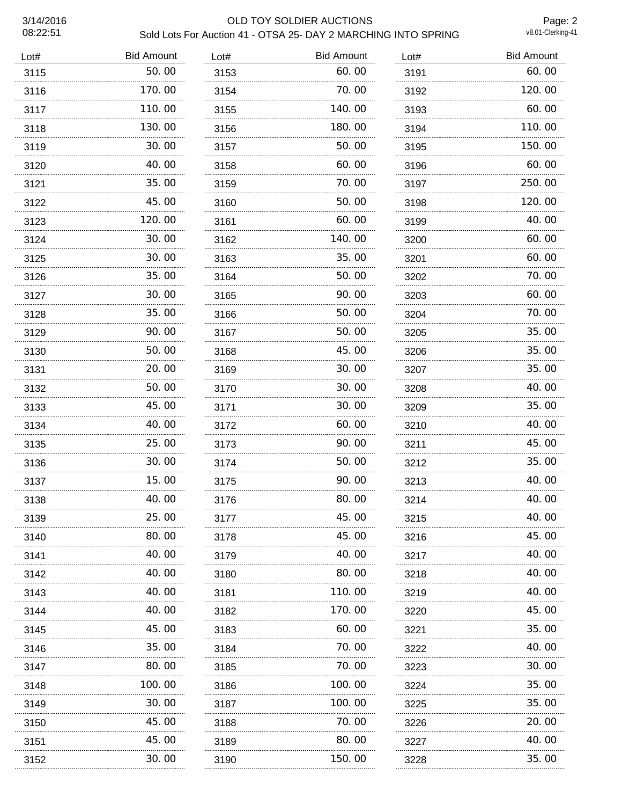#### 3/14/2016 OLD TOY SOLDIER AUCTIONS Sold Lots For Auction 41 - OTSA 25- DAY 2 MARCHING INTO SPRING

Page: 2<br>v8.01-Clerking-41

| Lot# | <b>Bid Amount</b> | Lot# | <b>Bid Amount</b> | Lot# | <b>Bid Amount</b> |
|------|-------------------|------|-------------------|------|-------------------|
| 3115 | 50.00             | 3153 | 60.00             | 3191 | 60.00             |
| 3116 | 170.00            | 3154 | 70.00             | 3192 | 120.00            |
| 3117 | 110.00            | 3155 | 140.00            | 3193 | 60.00             |
| 3118 | 130.00            | 3156 | 180.00            | 3194 | 110.00            |
| 3119 | 30.00             | 3157 | 50.00             | 3195 | 150.00            |
| 3120 | 40.00             | 3158 | 60.00             | 3196 | 60.00             |
| 3121 | 35.00             | 3159 | 70.00             | 3197 | 250.00            |
| 3122 | 45.00             | 3160 | 50.00             | 3198 | 120.00            |
| 3123 | 120.00            | 3161 | 60.00             | 3199 | 40.00             |
| 3124 | 30.00             | 3162 | 140.00            | 3200 | 60.00             |
| 3125 | 30.00             | 3163 | 35.00             | 3201 | 60.00             |
| 3126 | 35.00             | 3164 | 50.00             | 3202 | 70.00             |
| 3127 | 30.00             | 3165 | 90.00             | 3203 | 60.00             |
| 3128 | 35.00             | 3166 | 50.00             | 3204 | 70.00             |
| 3129 | 90.00             | 3167 | 50.00             | 3205 | 35.00             |
| 3130 | 50.00             | 3168 | 45.00             | 3206 | 35.00             |
| 3131 | 20.00             | 3169 | 30.00             | 3207 | 35.00             |
| 3132 | 50.00             | 3170 | 30.00             | 3208 | 40.00             |
| 3133 | 45.00             | 3171 | 30.00             | 3209 | 35.00             |
| 3134 | 40.00             | 3172 | 60.00             | 3210 | 40.00             |
| 3135 | 25.00             | 3173 | 90.00             | 3211 | 45.00             |
| 3136 | 30.00             | 3174 | 50.00             | 3212 | 35.00             |
| 3137 | 15.00             | 3175 | 90.00             | 3213 | 40.00             |
| 3138 | 40.00             | 3176 | 80.00             | 3214 | 40.00             |
| 3139 | 25.00             | 3177 | 45.00             | 3215 | 40.00             |
| 3140 | 80.00             | 3178 | 45.00             | 3216 | 45.00             |
| 3141 | 40. 00            | 3179 | 40. OO            | 3217 | 40.00             |
| 3142 | 40.00             | 3180 | 80.00             | 3218 | 40.00             |
| 3143 | 40. OO            | 3181 | 110.00            | 3219 | 40.00             |
| 3144 | 40.00             | 3182 | 170.00            | 3220 | 45.00             |
| 3145 | 45.00             | 3183 | 60.00             | 3221 | 35.00             |
| 3146 | 35.00             | 3184 | 70.00             | 3222 | 40.00             |
| 3147 | 80.00             | 3185 | 70.00             | 3223 | 30.00             |
| 3148 | 100. 00           | 3186 | 100.00            | 3224 | 35.00             |
| 3149 | 30.00             | 3187 | 100.00            | 3225 | 35.00             |
| 3150 | 45.00             | 3188 | 70.00             | 3226 | 20.00             |
| 3151 | 45.00<br>.        | 3189 | 80.00             | 3227 | 40.00             |
| 3152 | 30.00             | 3190 | 150.00            | 3228 | 35.00             |
|      |                   |      |                   |      |                   |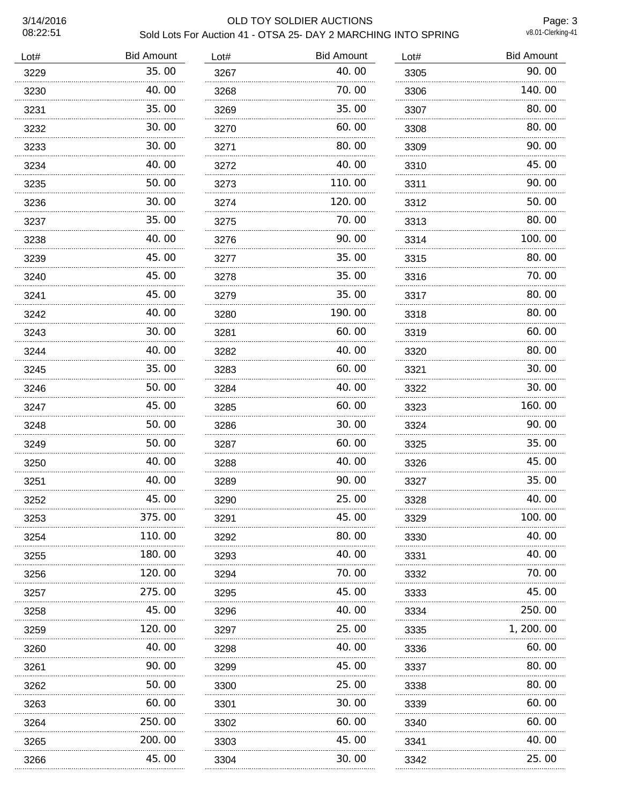#### 3/14/2016 OLD TOY SOLDIER AUCTIONS Sold Lots For Auction 41 - OTSA 25- DAY 2 MARCHING INTO SPRING

Page: 3<br>v8.01-Clerking-41

| Lot# | <b>Bid Amount</b> | Lot# | <b>Bid Amount</b> | Lot# | <b>Bid Amount</b> |
|------|-------------------|------|-------------------|------|-------------------|
| 3229 | 35.00             | 3267 | 40.00             | 3305 | 90.00             |
| 3230 | 40.00             | 3268 | 70.00             | 3306 | 140.00            |
| 3231 | 35.00             | 3269 | 35.00             | 3307 | 80.00             |
| 3232 | 30.00             | 3270 | 60.00             | 3308 | 80.00             |
| 3233 | 30.00             | 3271 | 80.00             | 3309 | 90.00             |
| 3234 | 40.00             | 3272 | 40.00             | 3310 | 45.00             |
| 3235 | 50.00             | 3273 | 110.00            | 3311 | 90.00             |
| 3236 | 30.00             | 3274 | 120.00            | 3312 | 50.00             |
| 3237 | 35.00             | 3275 | 70.00             | 3313 | 80.00             |
| 3238 | 40.00             | 3276 | 90.00             | 3314 | 100.00            |
| 3239 | 45.00             | 3277 | 35.00             | 3315 | 80.00             |
| 3240 | 45.00             | 3278 | 35.00             | 3316 | 70.00             |
| 3241 | 45.00             | 3279 | 35.00             | 3317 | 80.00             |
| 3242 | 40.00             | 3280 | 190.00            | 3318 | 80.00             |
| 3243 | 30.00             | 3281 | 60.00             | 3319 | 60.00             |
| 3244 | 40.00             | 3282 | 40.00             | 3320 | 80.00             |
| 3245 | 35.00<br>.        | 3283 | 60.00             | 3321 | 30.00             |
| 3246 | 50.00             | 3284 | 40.00             | 3322 | 30.00             |
| 3247 | 45.00<br>.        | 3285 | 60.00             | 3323 | 160.00            |
| 3248 | 50.00             | 3286 | 30.00             | 3324 | 90.00             |
| 3249 | 50.00             | 3287 | 60.00             | 3325 | 35.00             |
| 3250 | 40.00             | 3288 | 40.00             | 3326 | 45.00             |
| 3251 | 40.00             | 3289 | 90.00             | 3327 | 35.00             |
| 3252 | 45.00             | 3290 | 25.00             | 3328 | 40.00             |
| 3253 | 375.00            | 3291 | 45.00             | 3329 | 100.00            |
| 3254 | 110.00            | 3292 | 80.00             | 3330 | 40.00             |
| 3255 | 180.00            | 3293 | 40. 00            | 3331 | 40.00             |
| 3256 | 120.00            | 3294 | 70.00             | 3332 | 70. 00            |
| 3257 | 275.00            | 3295 | 45.00             | 3333 | 45.00             |
| 3258 | 45.00             | 3296 | 40.00             | 3334 | 250.00            |
| 3259 | 120.00            | 3297 | 25.00             | 3335 | 1, 200. 00        |
| 3260 | 40.00             | 3298 | 40.00             | 3336 | 60.00             |
| 3261 | 90.00             | 3299 | 45.00             | 3337 | 80.00             |
| 3262 | 50.00             | 3300 | 25.00             | 3338 | 80.00             |
| 3263 | 60.00             | 3301 | 30. 00            | 3339 | 60.00             |
| 3264 | 250.00            | 3302 | 60.00             | 3340 | 60.00             |
| 3265 | 200.00<br>        | 3303 | 45.00             | 3341 | 40.00             |
| 3266 | 45.00             | 3304 | 30.00             | 3342 | 25.00             |
|      |                   |      |                   |      |                   |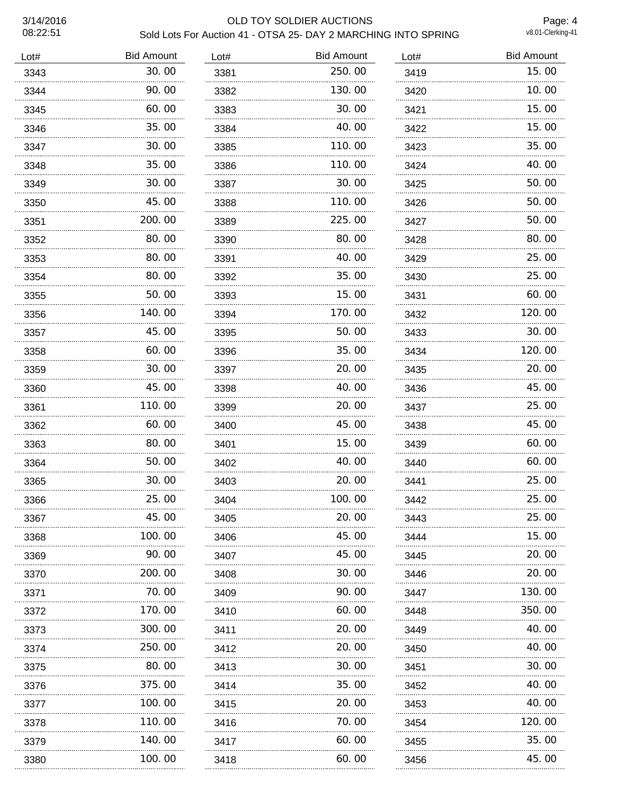#### 3/14/2016 OLD TOY SOLDIER AUCTIONS Sold Lots For Auction 41 - OTSA 25- DAY 2 MARCHING INTO SPRING

Page: 4<br>v8.01-Clerking-41

| Lot# | <b>Bid Amount</b> | Lot# | <b>Bid Amount</b> | Lot# | <b>Bid Amount</b> |
|------|-------------------|------|-------------------|------|-------------------|
| 3343 | 30.00             | 3381 | 250.00            | 3419 | 15.00             |
| 3344 | 90.00             | 3382 | 130.00            | 3420 | 10.00             |
| 3345 | 60.00             | 3383 | 30.00             | 3421 | 15.00             |
| 3346 | 35.00             | 3384 | 40.00             | 3422 | 15.00             |
| 3347 | 30.00             | 3385 | 110.00            | 3423 | 35.00             |
| 3348 | 35.00             | 3386 | 110.00            | 3424 | 40.00             |
| 3349 | 30.00             | 3387 | 30.00             | 3425 | 50.00             |
| 3350 | 45.00             | 3388 | 110.00            | 3426 | 50.00             |
| 3351 | 200.00            | 3389 | 225.00            | 3427 | 50.00             |
| 3352 | 80.00             | 3390 | 80.00             | 3428 | 80.00             |
| 3353 | 80.00             | 3391 | 40.00             | 3429 | 25.00             |
| 3354 | 80.00             | 3392 | 35.00             | 3430 | 25.00             |
| 3355 | 50.00             | 3393 | 15.00             | 3431 | 60.00             |
| 3356 | 140.00            | 3394 | 170.00            | 3432 | 120.00            |
| 3357 | 45.00             | 3395 | 50.00             | 3433 | 30.00             |
| 3358 | 60.00             | 3396 | 35.00             | 3434 | 120.00            |
| 3359 | 30.00             | 3397 | 20.00             | 3435 | 20.00             |
| 3360 | 45.00             | 3398 | 40.00             | 3436 | 45.00             |
| 3361 | 110.00            | 3399 | 20.00             | 3437 | 25.00             |
| 3362 | 60.00             | 3400 | 45.00             | 3438 | 45.00             |
| 3363 | 80.00             | 3401 | 15.00             | 3439 | 60.00             |
| 3364 | 50.00             | 3402 | 40.00             | 3440 | 60.00             |
| 3365 | 30.00             | 3403 | 20.00             | 3441 | 25.00             |
| 3366 | 25.00             | 3404 | 100.00            | 3442 | 25.00             |
| 3367 | 45.00             | 3405 | 20.00             | 3443 | 25.00             |
| 3368 | 100.00            | 3406 | 45.00             | 3444 | 15.00             |
| 3369 | 90.00             | 3407 | 45.00             | 3445 | 20.00             |
| 3370 | 200.00            | 3408 | 30.00             | 3446 | 20.00             |
| 3371 | 70.00             | 3409 | 90.00             | 3447 | 130.00            |
| 3372 | 170.00            | 3410 | 60.00             | 3448 | 350.00            |
| 3373 | 300.00            | 3411 | 20.00             | 3449 | 40.00             |
| 3374 | 250.00            | 3412 | 20.00             | 3450 | 40.00             |
| 3375 | 80.00             | 3413 | 30.00             | 3451 | 30.00             |
| 3376 | 375.00            | 3414 | 35.00             | 3452 | 40.00             |
| 3377 | 100.00            | 3415 | 20.00             | 3453 | 40.00             |
| 3378 | 110.00            | 3416 | 70.00             | 3454 | 120.00            |
| 3379 | 140.00            | 3417 | 60.00             | 3455 | 35.00             |
| 3380 | 100.00            | 3418 | 60.00             | 3456 | 45.00             |
|      |                   |      |                   |      |                   |